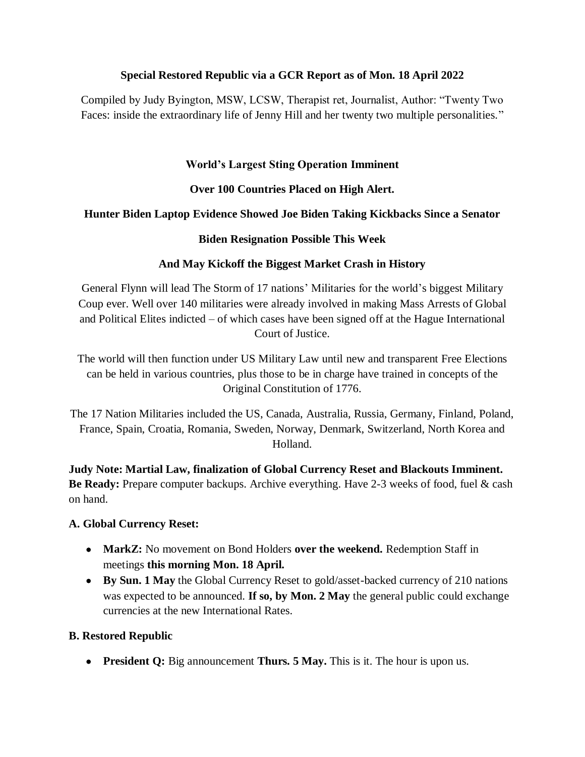#### **Special Restored Republic via a GCR Report as of Mon. 18 April 2022**

Compiled by Judy Byington, MSW, LCSW, Therapist ret, Journalist, Author: "Twenty Two Faces: inside the extraordinary life of Jenny Hill and her twenty two multiple personalities."

### **World"s Largest Sting Operation Imminent**

### **Over 100 Countries Placed on High Alert.**

### **Hunter Biden Laptop Evidence Showed Joe Biden Taking Kickbacks Since a Senator**

#### **Biden Resignation Possible This Week**

### **And May Kickoff the Biggest Market Crash in History**

General Flynn will lead The Storm of 17 nations' Militaries for the world's biggest Military Coup ever. Well over 140 militaries were already involved in making Mass Arrests of Global and Political Elites indicted – of which cases have been signed off at the Hague International Court of Justice.

The world will then function under US Military Law until new and transparent Free Elections can be held in various countries, plus those to be in charge have trained in concepts of the Original Constitution of 1776.

The 17 Nation Militaries included the US, Canada, Australia, Russia, Germany, Finland, Poland, France, Spain, Croatia, Romania, Sweden, Norway, Denmark, Switzerland, North Korea and Holland.

**Judy Note: Martial Law, finalization of Global Currency Reset and Blackouts Imminent. Be Ready:** Prepare computer backups. Archive everything. Have 2-3 weeks of food, fuel & cash on hand.

#### **A. Global Currency Reset:**

- **MarkZ:** No movement on Bond Holders **over the weekend.** Redemption Staff in meetings **this morning Mon. 18 April.**
- **By Sun. 1 May** the Global Currency Reset to gold/asset-backed currency of 210 nations was expected to be announced. **If so, by Mon. 2 May** the general public could exchange currencies at the new International Rates.

#### **B. Restored Republic**

**• President Q:** Big announcement **Thurs. 5 May.** This is it. The hour is upon us.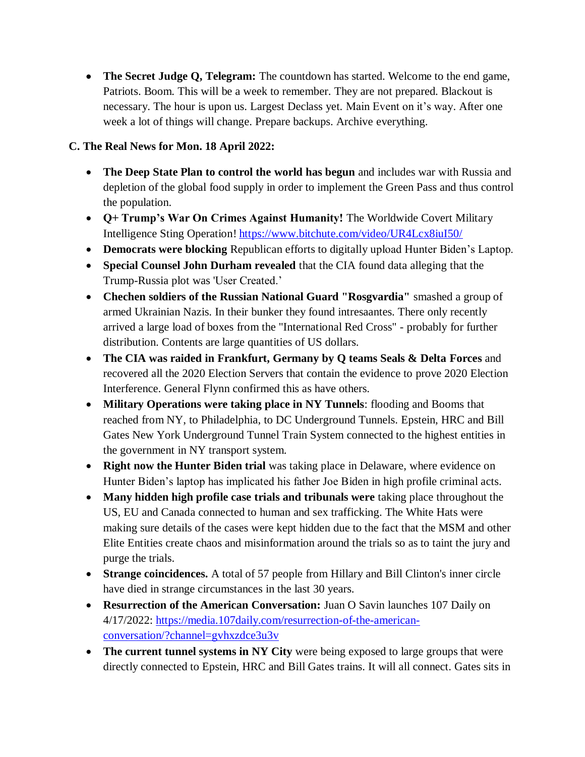**The Secret Judge Q, Telegram:** The countdown has started. Welcome to the end game, Patriots. Boom. This will be a week to remember. They are not prepared. Blackout is necessary. The hour is upon us. Largest Declass yet. Main Event on it's way. After one week a lot of things will change. Prepare backups. Archive everything.

### **C. The Real News for Mon. 18 April 2022:**

- **The Deep State Plan to control the world has begun** and includes war with Russia and depletion of the global food supply in order to implement the Green Pass and thus control the population.
- **Q+ Trump"s War On Crimes Against Humanity!** The Worldwide Covert Military Intelligence Sting Operation! <https://www.bitchute.com/video/UR4Lcx8iuI50/>
- **Democrats were blocking** Republican efforts to digitally upload Hunter Biden's Laptop.
- **Special Counsel John Durham revealed** that the CIA found data alleging that the Trump-Russia plot was 'User Created.'
- **Chechen soldiers of the Russian National Guard "Rosgvardia"** smashed a group of armed Ukrainian Nazis. In their bunker they found intresaantes. There only recently arrived a large load of boxes from the "International Red Cross" - probably for further distribution. Contents are large quantities of US dollars.
- **The CIA was raided in Frankfurt, Germany by Q teams Seals & Delta Forces** and recovered all the 2020 Election Servers that contain the evidence to prove 2020 Election Interference. General Flynn confirmed this as have others.
- **Military Operations were taking place in NY Tunnels**: flooding and Booms that reached from NY, to Philadelphia, to DC Underground Tunnels. Epstein, HRC and Bill Gates New York Underground Tunnel Train System connected to the highest entities in the government in NY transport system.
- **Right now the Hunter Biden trial** was taking place in Delaware, where evidence on Hunter Biden's laptop has implicated his father Joe Biden in high profile criminal acts.
- **Many hidden high profile case trials and tribunals were** taking place throughout the US, EU and Canada connected to human and sex trafficking. The White Hats were making sure details of the cases were kept hidden due to the fact that the MSM and other Elite Entities create chaos and misinformation around the trials so as to taint the jury and purge the trials.
- **Strange coincidences.** A total of 57 people from Hillary and Bill Clinton's inner circle have died in strange circumstances in the last 30 years.
- **Resurrection of the American Conversation:** Juan O Savin launches 107 Daily on 4/17/2022: [https://media.107daily.com/resurrection-of-the-american](https://media.107daily.com/resurrection-of-the-american-conversation/?channel=gvhxzdce3u3v)[conversation/?channel=gvhxzdce3u3v](https://media.107daily.com/resurrection-of-the-american-conversation/?channel=gvhxzdce3u3v)
- The current tunnel systems in NY City were being exposed to large groups that were directly connected to Epstein, HRC and Bill Gates trains. It will all connect. Gates sits in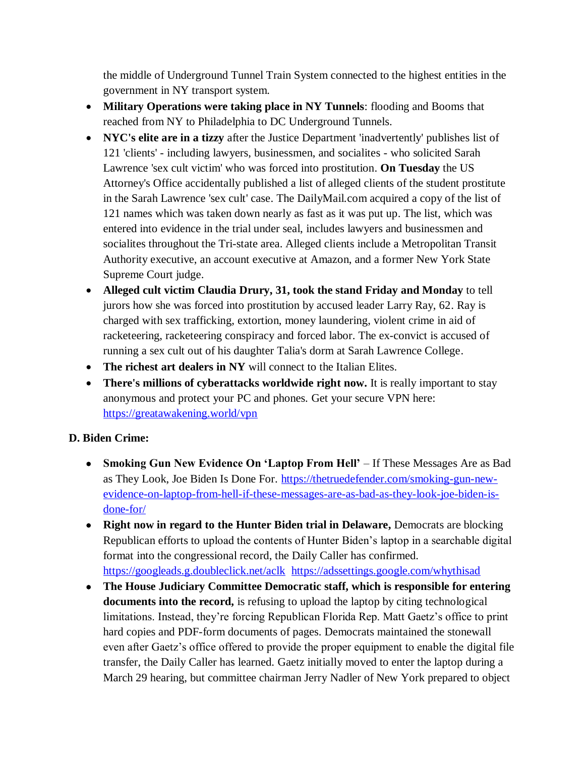the middle of Underground Tunnel Train System connected to the highest entities in the government in NY transport system.

- **Military Operations were taking place in NY Tunnels**: flooding and Booms that reached from NY to Philadelphia to DC Underground Tunnels.
- **NYC's elite are in a tizzy** after the Justice Department 'inadvertently' publishes list of 121 'clients' - including lawyers, businessmen, and socialites - who solicited Sarah Lawrence 'sex cult victim' who was forced into prostitution. **On Tuesday** the US Attorney's Office accidentally published a list of alleged clients of the student prostitute in the Sarah Lawrence 'sex cult' case. The DailyMail.com acquired a copy of the list of 121 names which was taken down nearly as fast as it was put up. The list, which was entered into evidence in the trial under seal, includes lawyers and businessmen and socialites throughout the Tri-state area. Alleged clients include a Metropolitan Transit Authority executive, an account executive at Amazon, and a former New York State Supreme Court judge.
- **Alleged cult victim Claudia Drury, 31, took the stand Friday and Monday** to tell jurors how she was forced into prostitution by accused leader Larry Ray, 62. Ray is charged with sex trafficking, extortion, money laundering, violent crime in aid of racketeering, racketeering conspiracy and forced labor. The ex-convict is accused of running a sex cult out of his daughter Talia's dorm at Sarah Lawrence College.
- The **richest art dealers in NY** will connect to the Italian Elites.
- There's millions of cyberattacks worldwide right now. It is really important to stay anonymous and protect your PC and phones. Get your secure VPN here: <https://greatawakening.world/vpn>

## **D. Biden Crime:**

- **Smoking Gun New Evidence On "Laptop From Hell"** If These Messages Are as Bad as They Look, Joe Biden Is Done For. [https://thetruedefender.com/smoking-gun-new](https://thetruedefender.com/smoking-gun-new-evidence-on-laptop-from-hell-if-these-messages-are-as-bad-as-they-look-joe-biden-is-done-for/)[evidence-on-laptop-from-hell-if-these-messages-are-as-bad-as-they-look-joe-biden-is](https://thetruedefender.com/smoking-gun-new-evidence-on-laptop-from-hell-if-these-messages-are-as-bad-as-they-look-joe-biden-is-done-for/)[done-for/](https://thetruedefender.com/smoking-gun-new-evidence-on-laptop-from-hell-if-these-messages-are-as-bad-as-they-look-joe-biden-is-done-for/)
- **Right now in regard to the Hunter Biden trial in Delaware,** Democrats are blocking Republican efforts to upload the contents of Hunter Biden's laptop in a searchable digital format into the congressional record, the Daily Caller has confirmed. <https://googleads.g.doubleclick.net/aclk><https://adssettings.google.com/whythisad>
- **The House Judiciary Committee Democratic staff, which is responsible for entering documents into the record,** is refusing to upload the laptop by citing technological limitations. Instead, they're forcing Republican Florida Rep. Matt Gaetz's office to print hard copies and PDF-form documents of pages. Democrats maintained the stonewall even after Gaetz's office offered to provide the proper equipment to enable the digital file transfer, the Daily Caller has learned. Gaetz initially moved to enter the laptop during a March 29 hearing, but committee chairman Jerry Nadler of New York prepared to object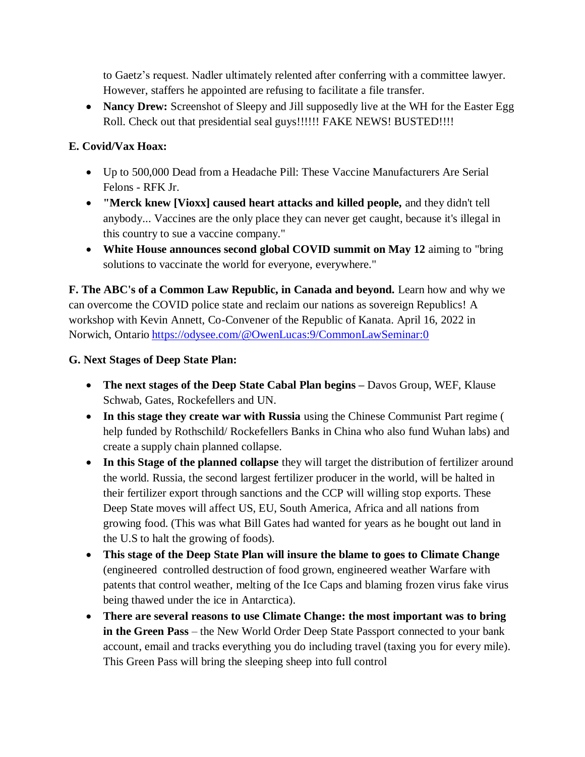to Gaetz's request. Nadler ultimately relented after conferring with a committee lawyer. However, staffers he appointed are refusing to facilitate a file transfer.

• Nancy Drew: Screenshot of Sleepy and Jill supposedly live at the WH for the Easter Egg Roll. Check out that presidential seal guys!!!!!! FAKE NEWS! BUSTED!!!!

## **E. Covid/Vax Hoax:**

- Up to 500,000 Dead from a Headache Pill: These Vaccine Manufacturers Are Serial Felons - RFK Jr.
- **"Merck knew [Vioxx] caused heart attacks and killed people,** and they didn't tell anybody... Vaccines are the only place they can never get caught, because it's illegal in this country to sue a vaccine company."
- **White House announces second global COVID summit on May 12** aiming to "bring solutions to vaccinate the world for everyone, everywhere."

**F. The ABC's of a Common Law Republic, in Canada and beyond.** Learn how and why we can overcome the COVID police state and reclaim our nations as sovereign Republics! A workshop with Kevin Annett, Co-Convener of the Republic of Kanata. April 16, 2022 in Norwich, Ontario <https://odysee.com/@OwenLucas:9/CommonLawSeminar:0>

# **G. Next Stages of Deep State Plan:**

- **The next stages of the Deep State Cabal Plan begins –** Davos Group, WEF, Klause Schwab, Gates, Rockefellers and UN.
- **In this stage they create war with Russia** using the Chinese Communist Part regime ( help funded by Rothschild/ Rockefellers Banks in China who also fund Wuhan labs) and create a supply chain planned collapse.
- **In this Stage of the planned collapse** they will target the distribution of fertilizer around the world. Russia, the second largest fertilizer producer in the world, will be halted in their fertilizer export through sanctions and the CCP will willing stop exports. These Deep State moves will affect US, EU, South America, Africa and all nations from growing food. (This was what Bill Gates had wanted for years as he bought out land in the U.S to halt the growing of foods).
- **This stage of the Deep State Plan will insure the blame to goes to Climate Change** (engineered controlled destruction of food grown, engineered weather Warfare with patents that control weather, melting of the Ice Caps and blaming frozen virus fake virus being thawed under the ice in Antarctica).
- **There are several reasons to use Climate Change: the most important was to bring in the Green Pass** – the New World Order Deep State Passport connected to your bank account, email and tracks everything you do including travel (taxing you for every mile). This Green Pass will bring the sleeping sheep into full control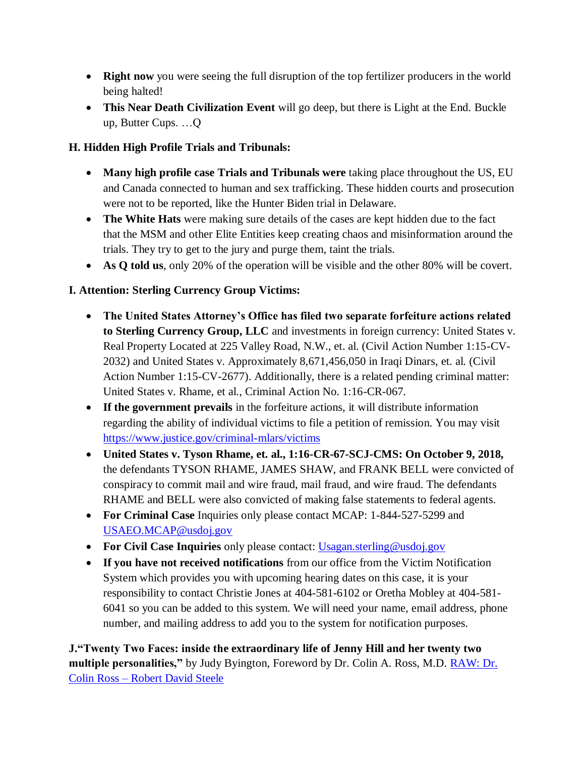- **Right now** you were seeing the full disruption of the top fertilizer producers in the world being halted!
- **This Near Death Civilization Event** will go deep, but there is Light at the End. Buckle up, Butter Cups. …Q

## **H. Hidden High Profile Trials and Tribunals:**

- **Many high profile case Trials and Tribunals were** taking place throughout the US, EU and Canada connected to human and sex trafficking. These hidden courts and prosecution were not to be reported, like the Hunter Biden trial in Delaware.
- **The White Hats** were making sure details of the cases are kept hidden due to the fact that the MSM and other Elite Entities keep creating chaos and misinformation around the trials. They try to get to the jury and purge them, taint the trials.
- **As Q told us**, only 20% of the operation will be visible and the other 80% will be covert.

## **I. Attention: Sterling Currency Group Victims:**

- **The United States Attorney"s Office has filed two separate forfeiture actions related to Sterling Currency Group, LLC** and investments in foreign currency: United States v. Real Property Located at 225 Valley Road, N.W., et. al. (Civil Action Number 1:15-CV-2032) and United States v. Approximately 8,671,456,050 in Iraqi Dinars, et. al. (Civil Action Number 1:15-CV-2677). Additionally, there is a related pending criminal matter: United States v. Rhame, et al., Criminal Action No. 1:16-CR-067.
- **If the government prevails** in the forfeiture actions, it will distribute information regarding the ability of individual victims to file a petition of remission. You may visit <https://www.justice.gov/criminal-mlars/victims>
- **United States v. Tyson Rhame, et. al., 1:16-CR-67-SCJ-CMS: On October 9, 2018,** the defendants TYSON RHAME, JAMES SHAW, and FRANK BELL were convicted of conspiracy to commit mail and wire fraud, mail fraud, and wire fraud. The defendants RHAME and BELL were also convicted of making false statements to federal agents.
- **For Criminal Case** Inquiries only please contact MCAP: 1-844-527-5299 and [USAEO.MCAP@usdoj.gov](mailto:USAEO.MCAP@usdoj.gov)
- **For Civil Case Inquiries** only please contact: [Usagan.sterling@usdoj.gov](mailto:Usagan.sterling@usdoj.gov)
- **If you have not received notifications** from our office from the Victim Notification System which provides you with upcoming hearing dates on this case, it is your responsibility to contact Christie Jones at 404-581-6102 or Oretha Mobley at 404-581- 6041 so you can be added to this system. We will need your name, email address, phone number, and mailing address to add you to the system for notification purposes.

**J."Twenty Two Faces: inside the extraordinary life of Jenny Hill and her twenty two multiple personalities,"** by Judy Byington, Foreword by Dr. Colin A. Ross, M.D. [RAW: Dr.](https://robertdavidsteele.com/dr-colin-ross/)  Colin Ross – [Robert David Steele](https://robertdavidsteele.com/dr-colin-ross/)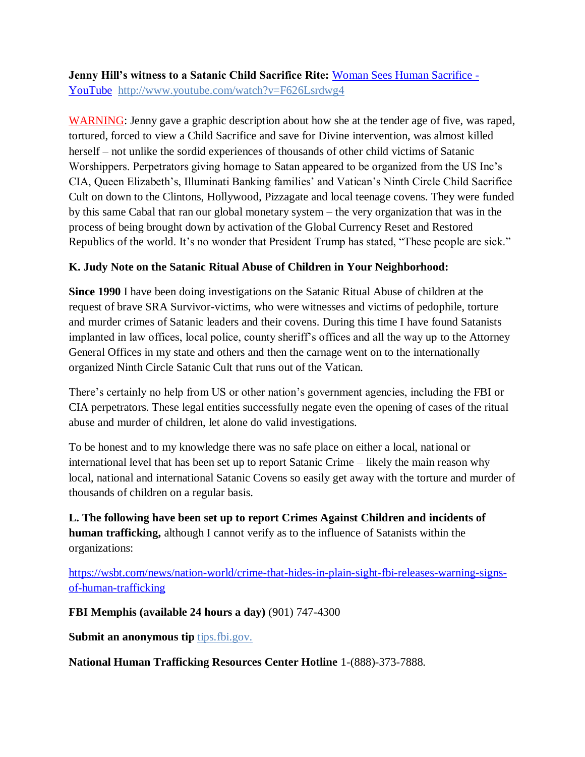**Jenny Hill"s witness to a Satanic Child Sacrifice Rite:** [Woman Sees Human Sacrifice -](https://www.youtube.com/watch?v=F626Lsrdwg4) [YouTube http://www.youtube.com/watch?v=F626Lsrdwg4](https://www.youtube.com/watch?v=F626Lsrdwg4)

WARNING: Jenny gave a graphic description about how she at the tender age of five, was raped, tortured, forced to view a Child Sacrifice and save for Divine intervention, was almost killed herself – not unlike the sordid experiences of thousands of other child victims of Satanic Worshippers. Perpetrators giving homage to Satan appeared to be organized from the US Inc's CIA, Queen Elizabeth's, Illuminati Banking families' and Vatican's Ninth Circle Child Sacrifice Cult on down to the Clintons, Hollywood, Pizzagate and local teenage covens. They were funded by this same Cabal that ran our global monetary system – the very organization that was in the process of being brought down by activation of the Global Currency Reset and Restored Republics of the world. It's no wonder that President Trump has stated, "These people are sick."

## **K. Judy Note on the Satanic Ritual Abuse of Children in Your Neighborhood:**

**Since 1990** I have been doing investigations on the Satanic Ritual Abuse of children at the request of brave SRA Survivor-victims, who were witnesses and victims of pedophile, torture and murder crimes of Satanic leaders and their covens. During this time I have found Satanists implanted in law offices, local police, county sheriff's offices and all the way up to the Attorney General Offices in my state and others and then the carnage went on to the internationally organized Ninth Circle Satanic Cult that runs out of the Vatican.

There's certainly no help from US or other nation's government agencies, including the FBI or CIA perpetrators. These legal entities successfully negate even the opening of cases of the ritual abuse and murder of children, let alone do valid investigations.

To be honest and to my knowledge there was no safe place on either a local, national or international level that has been set up to report Satanic Crime – likely the main reason why local, national and international Satanic Covens so easily get away with the torture and murder of thousands of children on a regular basis.

**L. The following have been set up to report Crimes Against Children and incidents of human trafficking,** although I cannot verify as to the influence of Satanists within the organizations:

[https://wsbt.com/news/nation-world/crime-that-hides-in-plain-sight-fbi-releases-warning-signs](https://wsbt.com/news/nation-world/crime-that-hides-in-plain-sight-fbi-releases-warning-signs-of-human-trafficking?video=e56ba52a1b9d45ad8c8a033fd83fe480&jwsource=cl)[of-human-trafficking](https://wsbt.com/news/nation-world/crime-that-hides-in-plain-sight-fbi-releases-warning-signs-of-human-trafficking?video=e56ba52a1b9d45ad8c8a033fd83fe480&jwsource=cl)

**FBI Memphis (available 24 hours a day)** (901) 747-4300

**Submit an anonymous tip tips.fbi.gov.** 

**National Human Trafficking Resources Center Hotline** 1-(888)-373-7888.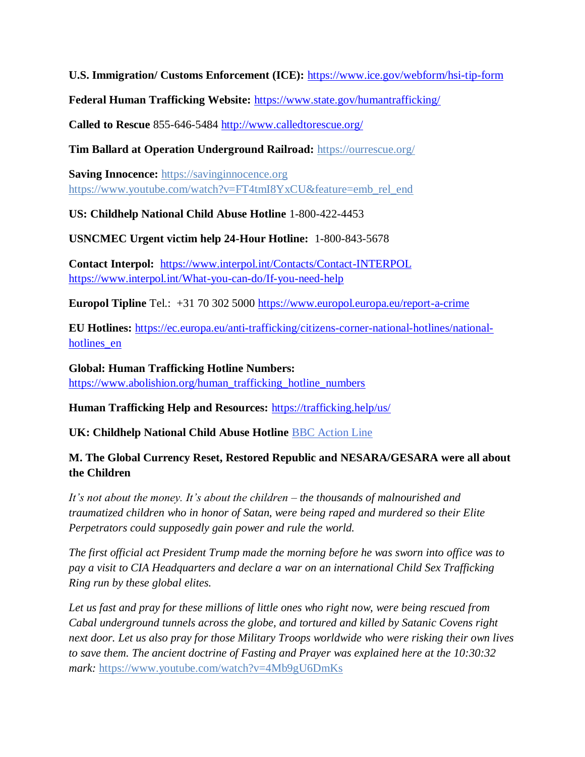**U.S. Immigration/ Customs Enforcement (ICE):** <https://www.ice.gov/webform/hsi-tip-form>

**Federal Human Trafficking Website:** <https://www.state.gov/humantrafficking/>

**Called to Rescue** 855-646-5484<http://www.calledtorescue.org/>

**Tim Ballard at Operation Underground Railroad:** <https://ourrescue.org/>

**Saving Innocence:** [https://savinginnocence.org](https://savinginnocence.org/) [https://www.youtube.com/watch?v=FT4tmI8YxCU&feature=emb\\_rel\\_end](https://www.youtube.com/watch?v=FT4tmI8YxCU&feature=emb_rel_end)

**US: Childhelp National Child Abuse Hotline** 1-800-422-4453

**USNCMEC Urgent victim help 24-Hour Hotline:** 1-800-843-5678

**Contact Interpol:** <https://www.interpol.int/Contacts/Contact-INTERPOL> <https://www.interpol.int/What-you-can-do/If-you-need-help>

**Europol Tipline** Tel.: +31 70 302 5000<https://www.europol.europa.eu/report-a-crime>

**EU Hotlines:** [https://ec.europa.eu/anti-trafficking/citizens-corner-national-hotlines/national](https://ec.europa.eu/anti-trafficking/citizens-corner-national-hotlines/national-hotlines_en)hotlines en

**Global: Human Trafficking Hotline Numbers:** [https://www.abolishion.org/human\\_trafficking\\_hotline\\_numbers](https://www.abolishion.org/human_trafficking_hotline_numbers)

**Human Trafficking Help and Resources:** <https://trafficking.help/us/>

**UK: Childhelp National Child Abuse Hotline** [BBC Action Line](https://www.bbc.co.uk/actionline)

### **M. The Global Currency Reset, Restored Republic and NESARA/GESARA were all about the Children**

*It's not about the money. It's about the children – the thousands of malnourished and traumatized children who in honor of Satan, were being raped and murdered so their Elite Perpetrators could supposedly gain power and rule the world.* 

*The first official act President Trump made the morning before he was sworn into office was to pay a visit to CIA Headquarters and declare a war on an international Child Sex Trafficking Ring run by these global elites.* 

*Let us fast and pray for these millions of little ones who right now, were being rescued from Cabal underground tunnels across the globe, and tortured and killed by Satanic Covens right next door. Let us also pray for those Military Troops worldwide who were risking their own lives to save them. The ancient doctrine of Fasting and Prayer was explained here at the 10:30:32 mark:* <https://www.youtube.com/watch?v=4Mb9gU6DmKs>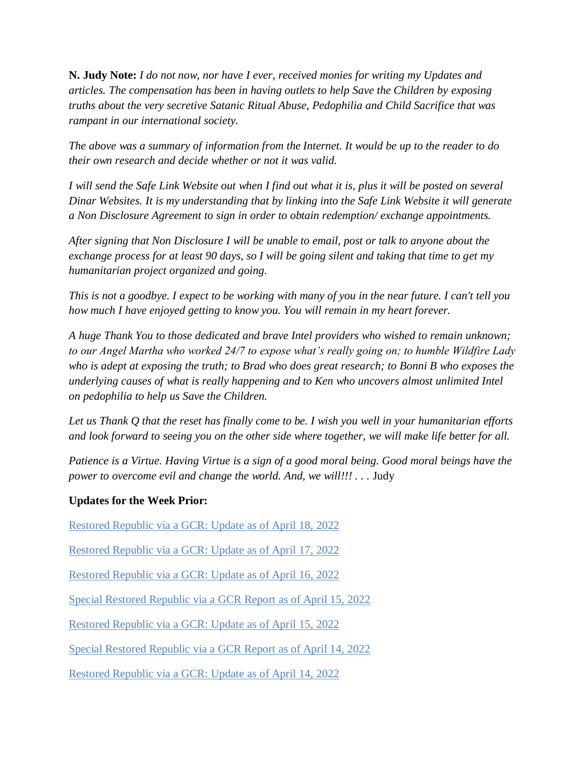**N. Judy Note:** *I do not now, nor have I ever, received monies for writing my Updates and articles. The compensation has been in having outlets to help Save the Children by exposing truths about the very secretive Satanic Ritual Abuse, Pedophilia and Child Sacrifice that was rampant in our international society.*

*The above was a summary of information from the Internet. It would be up to the reader to do their own research and decide whether or not it was valid.*

*I will send the Safe Link Website out when I find out what it is, plus it will be posted on several Dinar Websites. It is my understanding that by linking into the Safe Link Website it will generate a Non Disclosure Agreement to sign in order to obtain redemption/ exchange appointments.*

*After signing that Non Disclosure I will be unable to email, post or talk to anyone about the exchange process for at least 90 days, so I will be going silent and taking that time to get my humanitarian project organized and going.*

*This is not a goodbye. I expect to be working with many of you in the near future. I can't tell you how much I have enjoyed getting to know you. You will remain in my heart forever.*

*A huge Thank You to those dedicated and brave Intel providers who wished to remain unknown; to our Angel Martha who worked 24/7 to expose what's really going on; to humble Wildfire Lady who is adept at exposing the truth; to Brad who does great research; to Bonni B who exposes the underlying causes of what is really happening and to Ken who uncovers almost unlimited Intel on pedophilia to help us Save the Children.*

*Let us Thank Q that the reset has finally come to be. I wish you well in your humanitarian efforts and look forward to seeing you on the other side where together, we will make life better for all.*

*Patience is a Virtue. Having Virtue is a sign of a good moral being. Good moral beings have the power to overcome evil and change the world. And, we will!!!* . . . Judy

#### **Updates for the Week Prior:**

[Restored Republic via a GCR: Update](https://operationdisclosureofficial.com/2022/04/18/restored-republic-via-a-gcr-as-of-april-18-2022/) as of April 18, 2022

[Restored Republic via a GCR: Update](https://operationdisclosureofficial.com/2022/04/17/restored-republic-via-a-gcr-as-of-april-17-2022/) as of April 17, 2022

Restored Republic via a GCR: Update as of April 16, 2022

[Special Restored Republic via a GCR Report as of April 15, 2022](https://operationdisclosureofficial.com/2022/04/15/special-restored-republic-via-a-gcr-report-as-of-april-15-2022/)

[Restored Republic via a GCR: Update](https://operationdisclosureofficial.com/2022/04/15/restored-republic-via-a-gcr-as-of-april-15-2022/) as of April 15, 2022

Special Restored Republic via a GCR Report as of April 14, 2022

[Restored Republic via a GCR: Update](https://operationdisclosureofficial.com/2022/04/14/restored-republic-via-a-gcr-as-of-april-14-2022/) as of April 14, 2022